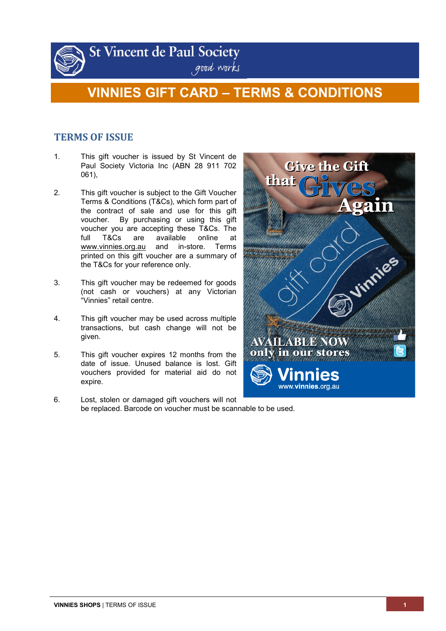

**St Vincent de Paul Society** 

# good works

## **VINNIES GIFT CARD – TERMS & CONDITIONS**

### **TERMS OF ISSUE**

- 1. This gift voucher is issued by St Vincent de Paul Society Victoria Inc (ABN 28 911 702 061),
- 2. This gift voucher is subject to the Gift Voucher Terms & Conditions (T&Cs), which form part of the contract of sale and use for this gift voucher. By purchasing or using this gift voucher you are accepting these T&Cs. The full T&Cs are available online at www.vinnies.org.au and in-store. Terms printed on this gift voucher are a summary of the T&Cs for your reference only.
- 3. This gift voucher may be redeemed for goods (not cash or vouchers) at any Victorian "Vinnies" retail centre.
- 4. This gift voucher may be used across multiple transactions, but cash change will not be given.
- 5. This gift voucher expires 12 months from the date of issue. Unused balance is lost. Gift vouchers provided for material aid do not expire.
- 6. Lost, stolen or damaged gift vouchers will not be replaced. Barcode on voucher must be scannable to be used.

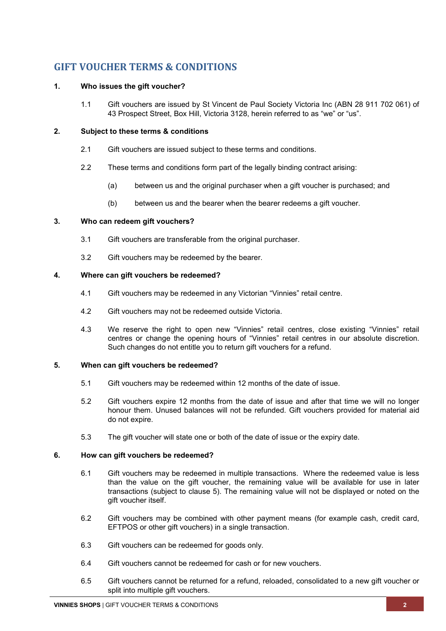## **GIFT VOUCHER TERMS & CONDITIONS**

#### **1. Who issues the gift voucher?**

1.1 Gift vouchers are issued by St Vincent de Paul Society Victoria Inc (ABN 28 911 702 061) of 43 Prospect Street, Box Hill, Victoria 3128, herein referred to as "we" or "us".

#### **2. Subject to these terms & conditions**

- 2.1 Gift vouchers are issued subject to these terms and conditions.
- 2.2 These terms and conditions form part of the legally binding contract arising:
	- (a) between us and the original purchaser when a gift voucher is purchased; and
	- (b) between us and the bearer when the bearer redeems a gift voucher.

#### **3. Who can redeem gift vouchers?**

- 3.1 Gift vouchers are transferable from the original purchaser.
- 3.2 Gift vouchers may be redeemed by the bearer.

#### **4. Where can gift vouchers be redeemed?**

- 4.1 Gift vouchers may be redeemed in any Victorian "Vinnies" retail centre.
- 4.2 Gift vouchers may not be redeemed outside Victoria.
- 4.3 We reserve the right to open new "Vinnies" retail centres, close existing "Vinnies" retail centres or change the opening hours of "Vinnies" retail centres in our absolute discretion. Such changes do not entitle you to return gift vouchers for a refund.

#### <span id="page-1-0"></span>**5. When can gift vouchers be redeemed?**

- 5.1 Gift vouchers may be redeemed within 12 months of the date of issue.
- 5.2 Gift vouchers expire 12 months from the date of issue and after that time we will no longer honour them. Unused balances will not be refunded. Gift vouchers provided for material aid do not expire.
- 5.3 The gift voucher will state one or both of the date of issue or the expiry date.

#### **6. How can gift vouchers be redeemed?**

- 6.1 Gift vouchers may be redeemed in multiple transactions. Where the redeemed value is less than the value on the gift voucher, the remaining value will be available for use in later transactions (subject to clause [5\)](#page-1-0). The remaining value will not be displayed or noted on the gift voucher itself.
- 6.2 Gift vouchers may be combined with other payment means (for example cash, credit card, EFTPOS or other gift vouchers) in a single transaction.
- 6.3 Gift vouchers can be redeemed for goods only.
- 6.4 Gift vouchers cannot be redeemed for cash or for new vouchers.
- 6.5 Gift vouchers cannot be returned for a refund, reloaded, consolidated to a new gift voucher or split into multiple gift vouchers.